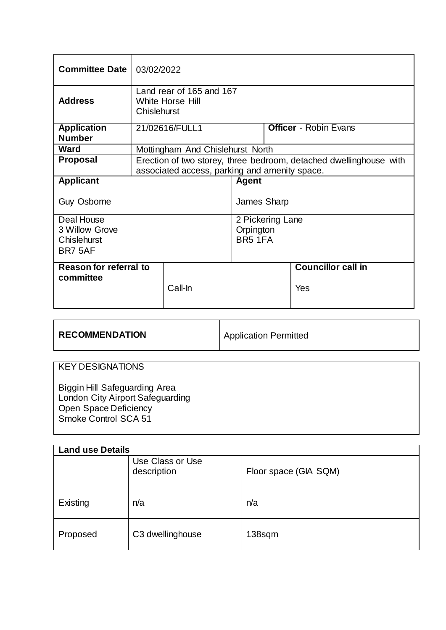| <b>Committee Date</b>  | 03/02/2022                                                                                                          |              |                  |                              |     |
|------------------------|---------------------------------------------------------------------------------------------------------------------|--------------|------------------|------------------------------|-----|
| <b>Address</b>         | Land rear of 165 and 167<br>White Horse Hill<br>Chislehurst                                                         |              |                  |                              |     |
| <b>Application</b>     | 21/02616/FULL1                                                                                                      |              |                  | <b>Officer</b> - Robin Evans |     |
| <b>Number</b>          |                                                                                                                     |              |                  |                              |     |
| <b>Ward</b>            | Mottingham And Chislehurst North                                                                                    |              |                  |                              |     |
| <b>Proposal</b>        | Erection of two storey, three bedroom, detached dwellinghouse with<br>associated access, parking and amenity space. |              |                  |                              |     |
| <b>Applicant</b>       |                                                                                                                     | <b>Agent</b> |                  |                              |     |
| <b>Guy Osborne</b>     |                                                                                                                     |              | James Sharp      |                              |     |
| Deal House             |                                                                                                                     |              | 2 Pickering Lane |                              |     |
| 3 Willow Grove         |                                                                                                                     |              |                  | Orpington                    |     |
| Chislehurst            |                                                                                                                     |              | BR5 1FA          |                              |     |
| BR7 5AF                |                                                                                                                     |              |                  |                              |     |
| Reason for referral to |                                                                                                                     |              |                  | <b>Councillor call in</b>    |     |
| committee              |                                                                                                                     | Call-In      |                  |                              | Yes |

| <b>RECOMMENDATION</b> | Application Permitted |
|-----------------------|-----------------------|
|                       |                       |

# KEY DESIGNATIONS

Biggin Hill Safeguarding Area London City Airport Safeguarding Open Space Deficiency Smoke Control SCA 51

| <b>Land use Details</b> |                                 |                       |  |  |
|-------------------------|---------------------------------|-----------------------|--|--|
|                         | Use Class or Use<br>description | Floor space (GIA SQM) |  |  |
| Existing                | n/a                             | n/a                   |  |  |
| Proposed                | C3 dwellinghouse                | 138sqm                |  |  |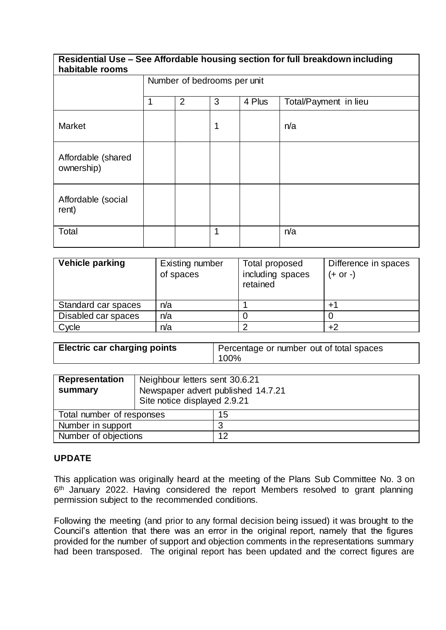#### **Residential Use – See Affordable housing section for full breakdown including habitable rooms**

| <b>HUNILUMIY I VUIIIJ</b>        |                             |                |              |        |                       |
|----------------------------------|-----------------------------|----------------|--------------|--------|-----------------------|
|                                  | Number of bedrooms per unit |                |              |        |                       |
|                                  | $\mathbf 1$                 | $\overline{2}$ | 3            | 4 Plus | Total/Payment in lieu |
| <b>Market</b>                    |                             |                | $\mathbf 1$  |        | n/a                   |
| Affordable (shared<br>ownership) |                             |                |              |        |                       |
| Affordable (social<br>rent)      |                             |                |              |        |                       |
| Total                            |                             |                | $\mathbf{1}$ |        | n/a                   |

| Vehicle parking     | Existing number<br>of spaces | Total proposed<br>including spaces<br>retained | Difference in spaces<br>$(+ or -)$ |
|---------------------|------------------------------|------------------------------------------------|------------------------------------|
| Standard car spaces | n/a                          |                                                | $+1$                               |
| Disabled car spaces | n/a                          |                                                |                                    |
| Cycle               | n/a                          |                                                |                                    |

| <b>Electric car charging points</b> | Percentage or number out of total spaces |  |  |
|-------------------------------------|------------------------------------------|--|--|
|                                     | 100%                                     |  |  |

| <b>Representation</b>     | Neighbour letters sent 30.6.21                                     |    |  |
|---------------------------|--------------------------------------------------------------------|----|--|
| summary                   | Newspaper advert published 14.7.21<br>Site notice displayed 2.9.21 |    |  |
| Total number of responses |                                                                    | 15 |  |
| Number in support         |                                                                    |    |  |
| Number of objections      |                                                                    | 12 |  |

## **UPDATE**

This application was originally heard at the meeting of the Plans Sub Committee No. 3 on 6<sup>th</sup> January 2022. Having considered the report Members resolved to grant planning permission subject to the recommended conditions.

Following the meeting (and prior to any formal decision being issued) it was brought to the Council's attention that there was an error in the original report, namely that the figures provided for the number of support and objection comments in the representations summary had been transposed. The original report has been updated and the correct figures are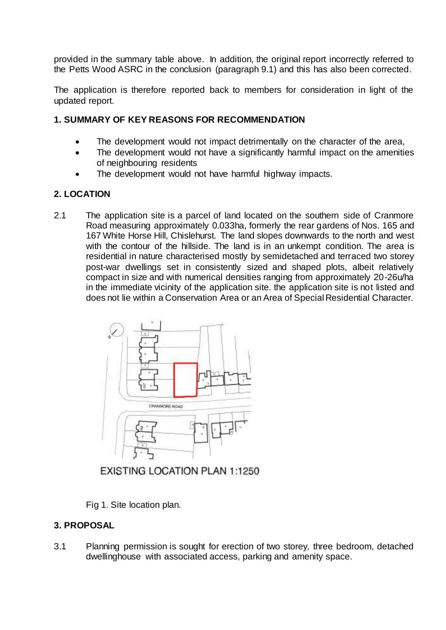provided in the summary table above. In addition, the original report incorrectly referred to the Petts Wood ASRC in the conclusion (paragraph 9.1) and this has also been corrected.

The application is therefore reported back to members for consideration in light of the updated report.

### **1. SUMMARY OF KEY REASONS FOR RECOMMENDATION**

- The development would not impact detrimentally on the character of the area,
- The development would not have a significantly harmful impact on the amenities of neighbouring residents
- The development would not have harmful highway impacts.

### **2. LOCATION**

2.1 The application site is a parcel of land located on the southern side of Cranmore Road measuring approximately 0.033ha, formerly the rear gardens of Nos. 165 and 167 White Horse Hill, Chislehurst. The land slopes downwards to the north and west with the contour of the hillside. The land is in an unkempt condition. The area is residential in nature characterised mostly by semidetached and terraced two storey post-war dwellings set in consistently sized and shaped plots, albeit relatively compact in size and with numerical densities ranging from approximately 20-26u/ha in the immediate vicinity of the application site. the application site is not listed and does not lie within a Conservation Area or an Area of Special Residential Character.



EXISTING LOCATION PLAN 1:1250

Fig 1. Site location plan.

## **3. PROPOSAL**

3.1 Planning permission is sought for erection of two storey, three bedroom, detached dwellinghouse with associated access, parking and amenity space.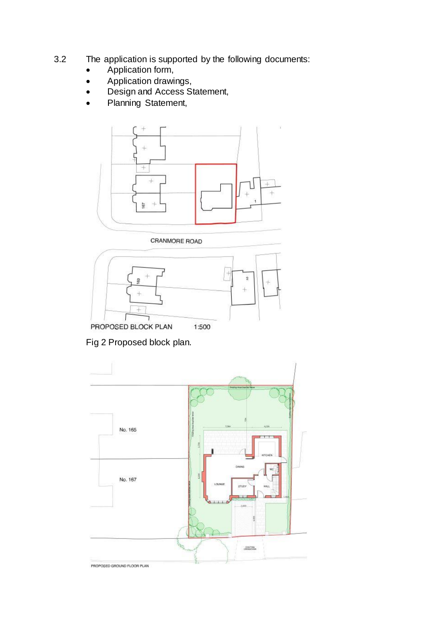- 3.2 The application is supported by the following documents:
	- Application form,
	- Application drawings,
	- Design and Access Statement,
	- Planning Statement,



CRANMORE ROAD



Fig 2 Proposed block plan.

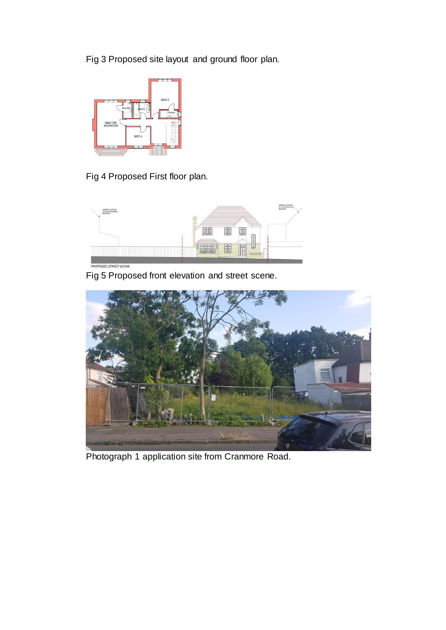Fig 3 Proposed site layout and ground floor plan.



Fig 4 Proposed First floor plan.



Fig 5 Proposed front elevation and street scene.



Photograph 1 application site from Cranmore Road.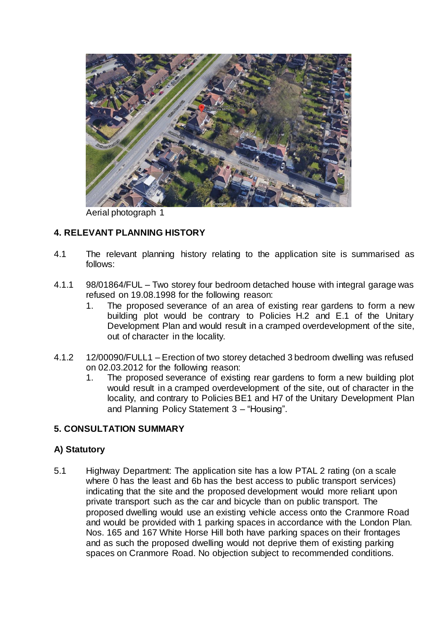

Aerial photograph 1

## **4. RELEVANT PLANNING HISTORY**

- 4.1 The relevant planning history relating to the application site is summarised as follows:
- 4.1.1 98/01864/FUL Two storey four bedroom detached house with integral garage was refused on 19.08.1998 for the following reason:
	- 1. The proposed severance of an area of existing rear gardens to form a new building plot would be contrary to Policies H.2 and E.1 of the Unitary Development Plan and would result in a cramped overdevelopment of the site, out of character in the locality.
- 4.1.2 12/00090/FULL1 Erection of two storey detached 3 bedroom dwelling was refused on 02.03.2012 for the following reason:
	- 1. The proposed severance of existing rear gardens to form a new building plot would result in a cramped overdevelopment of the site, out of character in the locality, and contrary to Policies BE1 and H7 of the Unitary Development Plan and Planning Policy Statement 3 – "Housing".

### **5. CONSULTATION SUMMARY**

## **A) Statutory**

5.1 Highway Department: The application site has a low PTAL 2 rating (on a scale where 0 has the least and 6b has the best access to public transport services) indicating that the site and the proposed development would more reliant upon private transport such as the car and bicycle than on public transport. The proposed dwelling would use an existing vehicle access onto the Cranmore Road and would be provided with 1 parking spaces in accordance with the London Plan. Nos. 165 and 167 White Horse Hill both have parking spaces on their frontages and as such the proposed dwelling would not deprive them of existing parking spaces on Cranmore Road. No objection subject to recommended conditions.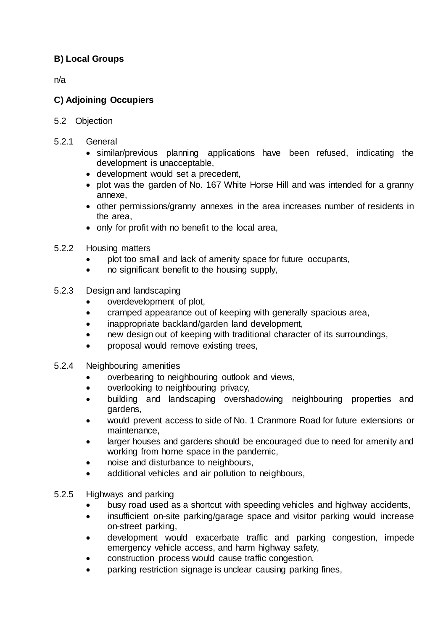## **B) Local Groups**

n/a

## **C) Adjoining Occupiers**

- 5.2 Objection
- 5.2.1 General
	- similar/previous planning applications have been refused, indicating the development is unacceptable,
	- development would set a precedent,
	- plot was the garden of No. 167 White Horse Hill and was intended for a granny annexe,
	- other permissions/granny annexes in the area increases number of residents in the area,
	- only for profit with no benefit to the local area,
- 5.2.2 Housing matters
	- plot too small and lack of amenity space for future occupants,
	- no significant benefit to the housing supply,
- 5.2.3 Design and landscaping
	- overdevelopment of plot,
	- cramped appearance out of keeping with generally spacious area,
	- inappropriate backland/garden land development,
	- new design out of keeping with traditional character of its surroundings,
	- proposal would remove existing trees,
- 5.2.4 Neighbouring amenities
	- overbearing to neighbouring outlook and views,
	- overlooking to neighbouring privacy,
	- building and landscaping overshadowing neighbouring properties and gardens,
	- would prevent access to side of No. 1 Cranmore Road for future extensions or maintenance,
	- larger houses and gardens should be encouraged due to need for amenity and working from home space in the pandemic,
	- noise and disturbance to neighbours,
	- additional vehicles and air pollution to neighbours,
- 5.2.5 Highways and parking
	- busy road used as a shortcut with speeding vehicles and highway accidents,
	- insufficient on-site parking/garage space and visitor parking would increase on-street parking,
	- development would exacerbate traffic and parking congestion, impede emergency vehicle access, and harm highway safety,
	- construction process would cause traffic congestion,
	- parking restriction signage is unclear causing parking fines,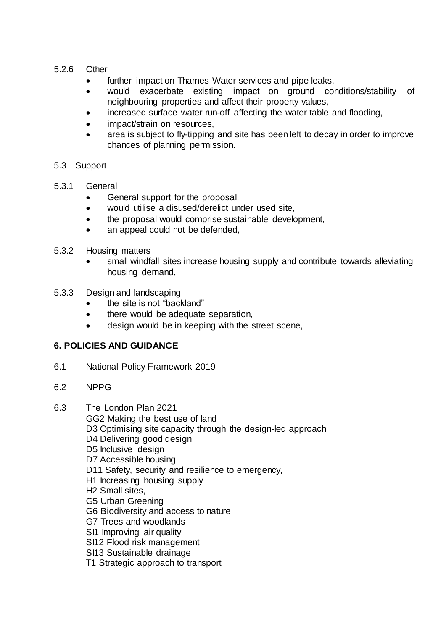### 5.2.6 Other

- further impact on Thames Water services and pipe leaks,
- would exacerbate existing impact on ground conditions/stability of neighbouring properties and affect their property values,
- increased surface water run-off affecting the water table and flooding,
- impact/strain on resources,
- area is subject to fly-tipping and site has been left to decay in order to improve chances of planning permission.

### 5.3 Support

- 5.3.1 General
	- General support for the proposal,
	- would utilise a disused/derelict under used site,
	- the proposal would comprise sustainable development,
	- an appeal could not be defended,
- 5.3.2 Housing matters
	- small windfall sites increase housing supply and contribute towards alleviating housing demand,
- 5.3.3 Design and landscaping
	- the site is not "backland"
	- there would be adequate separation,
	- design would be in keeping with the street scene,

## **6. POLICIES AND GUIDANCE**

- 6.1 National Policy Framework 2019
- 6.2 NPPG
- 6.3 The London Plan 2021
	- GG2 Making the best use of land
	- D3 Optimising site capacity through the design-led approach
	- D4 Delivering good design
	- D5 Inclusive design
	- D7 Accessible housing
	- D11 Safety, security and resilience to emergency,
	- H1 Increasing housing supply
	- H2 Small sites,
	- G5 Urban Greening
	- G6 Biodiversity and access to nature
	- G7 Trees and woodlands
	- SI1 Improving air quality
	- SI12 Flood risk management
	- SI13 Sustainable drainage
	- T1 Strategic approach to transport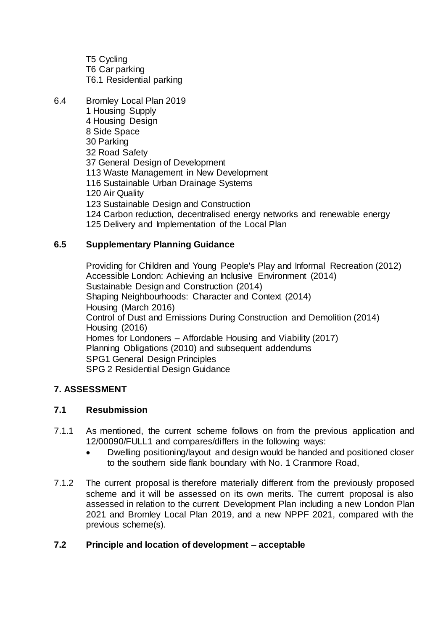T5 Cycling T6 Car parking T6.1 Residential parking

6.4 Bromley Local Plan 2019 1 Housing Supply 4 Housing Design 8 Side Space 30 Parking 32 Road Safety 37 General Design of Development 113 Waste Management in New Development 116 Sustainable Urban Drainage Systems 120 Air Quality 123 Sustainable Design and Construction 124 Carbon reduction, decentralised energy networks and renewable energy 125 Delivery and Implementation of the Local Plan

## **6.5 Supplementary Planning Guidance**

Providing for Children and Young People's Play and Informal Recreation (2012) Accessible London: Achieving an Inclusive Environment (2014) Sustainable Design and Construction (2014) Shaping Neighbourhoods: Character and Context (2014) Housing (March 2016) Control of Dust and Emissions During Construction and Demolition (2014) Housing (2016) Homes for Londoners – Affordable Housing and Viability (2017) Planning Obligations (2010) and subsequent addendums SPG1 General Design Principles SPG 2 Residential Design Guidance

## **7. ASSESSMENT**

### **7.1 Resubmission**

- 7.1.1 As mentioned, the current scheme follows on from the previous application and 12/00090/FULL1 and compares/differs in the following ways:
	- Dwelling positioning/layout and design would be handed and positioned closer to the southern side flank boundary with No. 1 Cranmore Road,
- 7.1.2 The current proposal is therefore materially different from the previously proposed scheme and it will be assessed on its own merits. The current proposal is also assessed in relation to the current Development Plan including a new London Plan 2021 and Bromley Local Plan 2019, and a new NPPF 2021, compared with the previous scheme(s).

### **7.2 Principle and location of development – acceptable**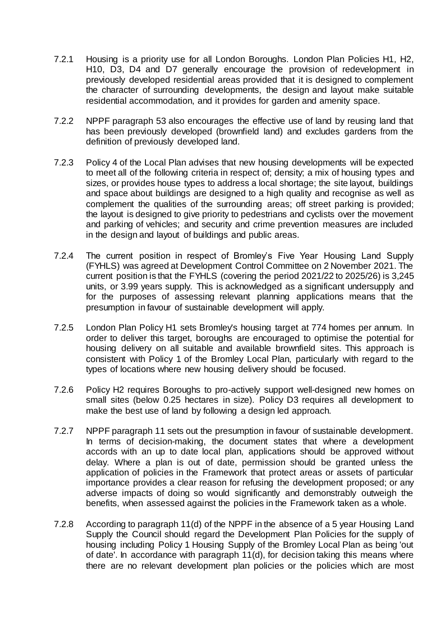- 7.2.1 Housing is a priority use for all London Boroughs. London Plan Policies H1, H2, H10, D3, D4 and D7 generally encourage the provision of redevelopment in previously developed residential areas provided that it is designed to complement the character of surrounding developments, the design and layout make suitable residential accommodation, and it provides for garden and amenity space.
- 7.2.2 NPPF paragraph 53 also encourages the effective use of land by reusing land that has been previously developed (brownfield land) and excludes gardens from the definition of previously developed land.
- 7.2.3 Policy 4 of the Local Plan advises that new housing developments will be expected to meet all of the following criteria in respect of; density; a mix of housing types and sizes, or provides house types to address a local shortage; the site layout, buildings and space about buildings are designed to a high quality and recognise as well as complement the qualities of the surrounding areas; off street parking is provided; the layout is designed to give priority to pedestrians and cyclists over the movement and parking of vehicles; and security and crime prevention measures are included in the design and layout of buildings and public areas.
- 7.2.4 The current position in respect of Bromley's Five Year Housing Land Supply (FYHLS) was agreed at Development Control Committee on 2 November 2021. The current position is that the FYHLS (covering the period 2021/22 to 2025/26) is 3,245 units, or 3.99 years supply. This is acknowledged as a significant undersupply and for the purposes of assessing relevant planning applications means that the presumption in favour of sustainable development will apply.
- 7.2.5 London Plan Policy H1 sets Bromley's housing target at 774 homes per annum. In order to deliver this target, boroughs are encouraged to optimise the potential for housing delivery on all suitable and available brownfield sites. This approach is consistent with Policy 1 of the Bromley Local Plan, particularly with regard to the types of locations where new housing delivery should be focused.
- 7.2.6 Policy H2 requires Boroughs to pro-actively support well-designed new homes on small sites (below 0.25 hectares in size). Policy D3 requires all development to make the best use of land by following a design led approach.
- 7.2.7 NPPF paragraph 11 sets out the presumption in favour of sustainable development. In terms of decision-making, the document states that where a development accords with an up to date local plan, applications should be approved without delay. Where a plan is out of date, permission should be granted unless the application of policies in the Framework that protect areas or assets of particular importance provides a clear reason for refusing the development proposed; or any adverse impacts of doing so would significantly and demonstrably outweigh the benefits, when assessed against the policies in the Framework taken as a whole.
- 7.2.8 According to paragraph 11(d) of the NPPF in the absence of a 5 year Housing Land Supply the Council should regard the Development Plan Policies for the supply of housing including Policy 1 Housing Supply of the Bromley Local Plan as being 'out of date'. In accordance with paragraph 11(d), for decision taking this means where there are no relevant development plan policies or the policies which are most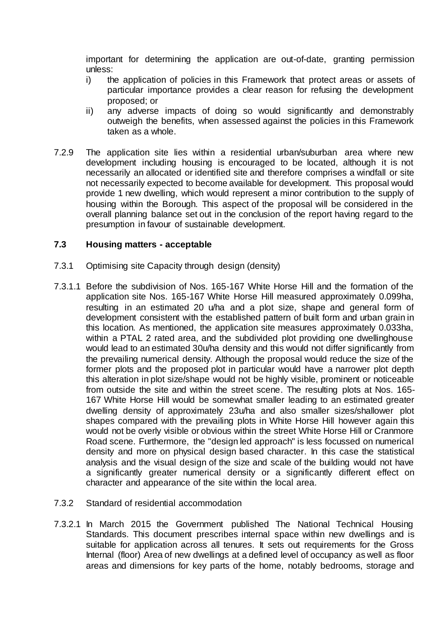important for determining the application are out-of-date, granting permission unless:

- i) the application of policies in this Framework that protect areas or assets of particular importance provides a clear reason for refusing the development proposed; or
- ii) any adverse impacts of doing so would significantly and demonstrably outweigh the benefits, when assessed against the policies in this Framework taken as a whole.
- 7.2.9 The application site lies within a residential urban/suburban area where new development including housing is encouraged to be located, although it is not necessarily an allocated or identified site and therefore comprises a windfall or site not necessarily expected to become available for development. This proposal would provide 1 new dwelling, which would represent a minor contribution to the supply of housing within the Borough. This aspect of the proposal will be considered in the overall planning balance set out in the conclusion of the report having regard to the presumption in favour of sustainable development.

### **7.3 Housing matters - acceptable**

- 7.3.1 Optimising site Capacity through design (density)
- 7.3.1.1 Before the subdivision of Nos. 165-167 White Horse Hill and the formation of the application site Nos. 165-167 White Horse Hill measured approximately 0.099ha, resulting in an estimated 20 u/ha and a plot size, shape and general form of development consistent with the established pattern of built form and urban grain in this location. As mentioned, the application site measures approximately 0.033ha, within a PTAL 2 rated area, and the subdivided plot providing one dwellinghouse would lead to an estimated 30u/ha density and this would not differ significantly from the prevailing numerical density. Although the proposal would reduce the size of the former plots and the proposed plot in particular would have a narrower plot depth this alteration in plot size/shape would not be highly visible, prominent or noticeable from outside the site and within the street scene. The resulting plots at Nos. 165- 167 White Horse Hill would be somewhat smaller leading to an estimated greater dwelling density of approximately 23u/ha and also smaller sizes/shallower plot shapes compared with the prevailing plots in White Horse Hill however again this would not be overly visible or obvious within the street White Horse Hill or Cranmore Road scene. Furthermore, the "design led approach" is less focussed on numerical density and more on physical design based character. In this case the statistical analysis and the visual design of the size and scale of the building would not have a significantly greater numerical density or a significantly different effect on character and appearance of the site within the local area.
- 7.3.2 Standard of residential accommodation
- 7.3.2.1 In March 2015 the Government published The National Technical Housing Standards. This document prescribes internal space within new dwellings and is suitable for application across all tenures. It sets out requirements for the Gross Internal (floor) Area of new dwellings at a defined level of occupancy as well as floor areas and dimensions for key parts of the home, notably bedrooms, storage and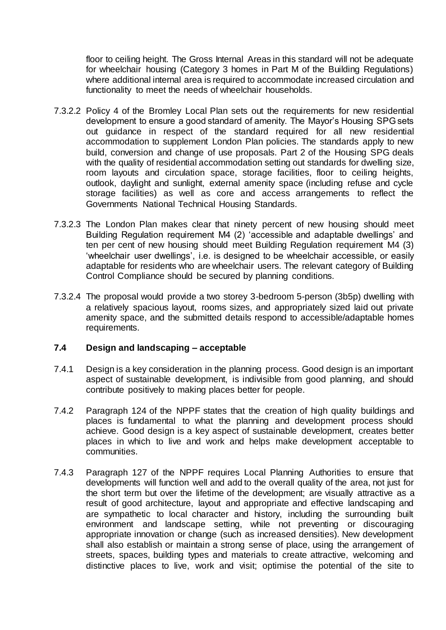floor to ceiling height. The Gross Internal Areas in this standard will not be adequate for wheelchair housing (Category 3 homes in Part M of the Building Regulations) where additional internal area is required to accommodate increased circulation and functionality to meet the needs of wheelchair households.

- 7.3.2.2 Policy 4 of the Bromley Local Plan sets out the requirements for new residential development to ensure a good standard of amenity. The Mayor's Housing SPG sets out guidance in respect of the standard required for all new residential accommodation to supplement London Plan policies. The standards apply to new build, conversion and change of use proposals. Part 2 of the Housing SPG deals with the quality of residential accommodation setting out standards for dwelling size, room layouts and circulation space, storage facilities, floor to ceiling heights, outlook, daylight and sunlight, external amenity space (including refuse and cycle storage facilities) as well as core and access arrangements to reflect the Governments National Technical Housing Standards.
- 7.3.2.3 The London Plan makes clear that ninety percent of new housing should meet Building Regulation requirement M4 (2) 'accessible and adaptable dwellings' and ten per cent of new housing should meet Building Regulation requirement M4 (3) 'wheelchair user dwellings', i.e. is designed to be wheelchair accessible, or easily adaptable for residents who are wheelchair users. The relevant category of Building Control Compliance should be secured by planning conditions.
- 7.3.2.4 The proposal would provide a two storey 3-bedroom 5-person (3b5p) dwelling with a relatively spacious layout, rooms sizes, and appropriately sized laid out private amenity space, and the submitted details respond to accessible/adaptable homes requirements.

### **7.4 Design and landscaping – acceptable**

- 7.4.1 Design is a key consideration in the planning process. Good design is an important aspect of sustainable development, is indivisible from good planning, and should contribute positively to making places better for people.
- 7.4.2 Paragraph 124 of the NPPF states that the creation of high quality buildings and places is fundamental to what the planning and development process should achieve. Good design is a key aspect of sustainable development, creates better places in which to live and work and helps make development acceptable to communities.
- 7.4.3 Paragraph 127 of the NPPF requires Local Planning Authorities to ensure that developments will function well and add to the overall quality of the area, not just for the short term but over the lifetime of the development; are visually attractive as a result of good architecture, layout and appropriate and effective landscaping and are sympathetic to local character and history, including the surrounding built environment and landscape setting, while not preventing or discouraging appropriate innovation or change (such as increased densities). New development shall also establish or maintain a strong sense of place, using the arrangement of streets, spaces, building types and materials to create attractive, welcoming and distinctive places to live, work and visit; optimise the potential of the site to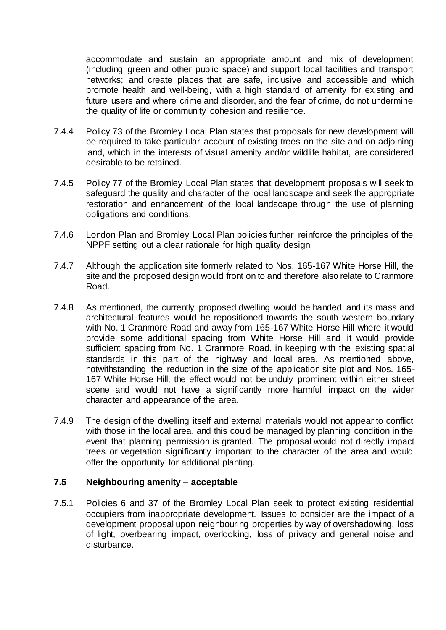accommodate and sustain an appropriate amount and mix of development (including green and other public space) and support local facilities and transport networks; and create places that are safe, inclusive and accessible and which promote health and well-being, with a high standard of amenity for existing and future users and where crime and disorder, and the fear of crime, do not undermine the quality of life or community cohesion and resilience.

- 7.4.4 Policy 73 of the Bromley Local Plan states that proposals for new development will be required to take particular account of existing trees on the site and on adjoining land, which in the interests of visual amenity and/or wildlife habitat, are considered desirable to be retained.
- 7.4.5 Policy 77 of the Bromley Local Plan states that development proposals will seek to safeguard the quality and character of the local landscape and seek the appropriate restoration and enhancement of the local landscape through the use of planning obligations and conditions.
- 7.4.6 London Plan and Bromley Local Plan policies further reinforce the principles of the NPPF setting out a clear rationale for high quality design.
- 7.4.7 Although the application site formerly related to Nos. 165-167 White Horse Hill, the site and the proposed design would front on to and therefore also relate to Cranmore Road.
- 7.4.8 As mentioned, the currently proposed dwelling would be handed and its mass and architectural features would be repositioned towards the south western boundary with No. 1 Cranmore Road and away from 165-167 White Horse Hill where it would provide some additional spacing from White Horse Hill and it would provide sufficient spacing from No. 1 Cranmore Road, in keeping with the existing spatial standards in this part of the highway and local area. As mentioned above, notwithstanding the reduction in the size of the application site plot and Nos. 165- 167 White Horse Hill, the effect would not be unduly prominent within either street scene and would not have a significantly more harmful impact on the wider character and appearance of the area.
- 7.4.9 The design of the dwelling itself and external materials would not appear to conflict with those in the local area, and this could be managed by planning condition in the event that planning permission is granted. The proposal would not directly impact trees or vegetation significantly important to the character of the area and would offer the opportunity for additional planting.

### **7.5 Neighbouring amenity – acceptable**

7.5.1 Policies 6 and 37 of the Bromley Local Plan seek to protect existing residential occupiers from inappropriate development. Issues to consider are the impact of a development proposal upon neighbouring properties by way of overshadowing, loss of light, overbearing impact, overlooking, loss of privacy and general noise and disturbance.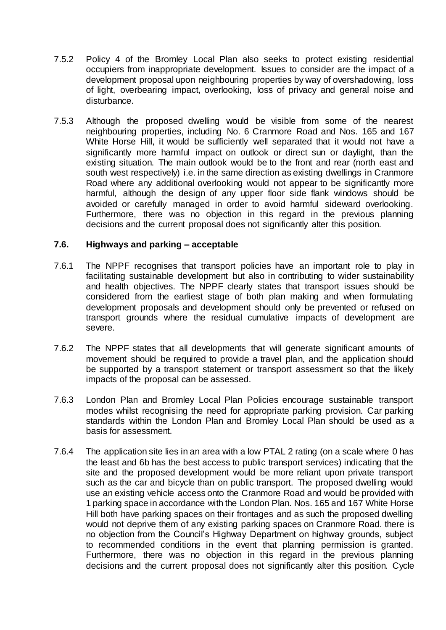- 7.5.2 Policy 4 of the Bromley Local Plan also seeks to protect existing residential occupiers from inappropriate development. Issues to consider are the impact of a development proposal upon neighbouring properties by way of overshadowing, loss of light, overbearing impact, overlooking, loss of privacy and general noise and disturbance.
- 7.5.3 Although the proposed dwelling would be visible from some of the nearest neighbouring properties, including No. 6 Cranmore Road and Nos. 165 and 167 White Horse Hill, it would be sufficiently well separated that it would not have a significantly more harmful impact on outlook or direct sun or daylight, than the existing situation. The main outlook would be to the front and rear (north east and south west respectively) i.e. in the same direction as existing dwellings in Cranmore Road where any additional overlooking would not appear to be significantly more harmful, although the design of any upper floor side flank windows should be avoided or carefully managed in order to avoid harmful sideward overlooking. Furthermore, there was no objection in this regard in the previous planning decisions and the current proposal does not significantly alter this position.

### **7.6. Highways and parking – acceptable**

- 7.6.1 The NPPF recognises that transport policies have an important role to play in facilitating sustainable development but also in contributing to wider sustainability and health objectives. The NPPF clearly states that transport issues should be considered from the earliest stage of both plan making and when formulating development proposals and development should only be prevented or refused on transport grounds where the residual cumulative impacts of development are severe.
- 7.6.2 The NPPF states that all developments that will generate significant amounts of movement should be required to provide a travel plan, and the application should be supported by a transport statement or transport assessment so that the likely impacts of the proposal can be assessed.
- 7.6.3 London Plan and Bromley Local Plan Policies encourage sustainable transport modes whilst recognising the need for appropriate parking provision. Car parking standards within the London Plan and Bromley Local Plan should be used as a basis for assessment.
- 7.6.4 The application site lies in an area with a low PTAL 2 rating (on a scale where 0 has the least and 6b has the best access to public transport services) indicating that the site and the proposed development would be more reliant upon private transport such as the car and bicycle than on public transport. The proposed dwelling would use an existing vehicle access onto the Cranmore Road and would be provided with 1 parking space in accordance with the London Plan. Nos. 165 and 167 White Horse Hill both have parking spaces on their frontages and as such the proposed dwelling would not deprive them of any existing parking spaces on Cranmore Road. there is no objection from the Council's Highway Department on highway grounds, subject to recommended conditions in the event that planning permission is granted. Furthermore, there was no objection in this regard in the previous planning decisions and the current proposal does not significantly alter this position. Cycle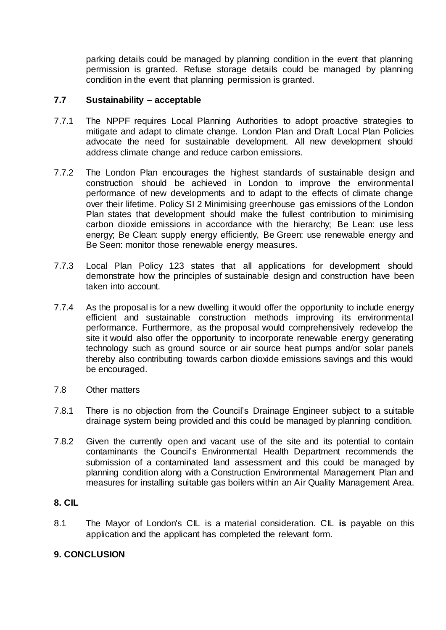parking details could be managed by planning condition in the event that planning permission is granted. Refuse storage details could be managed by planning condition in the event that planning permission is granted.

### **7.7 Sustainability – acceptable**

- 7.7.1 The NPPF requires Local Planning Authorities to adopt proactive strategies to mitigate and adapt to climate change. London Plan and Draft Local Plan Policies advocate the need for sustainable development. All new development should address climate change and reduce carbon emissions.
- 7.7.2 The London Plan encourages the highest standards of sustainable design and construction should be achieved in London to improve the environmental performance of new developments and to adapt to the effects of climate change over their lifetime. Policy SI 2 Minimising greenhouse gas emissions of the London Plan states that development should make the fullest contribution to minimising carbon dioxide emissions in accordance with the hierarchy; Be Lean: use less energy: Be Clean: supply energy efficiently, Be Green: use renewable energy and Be Seen: monitor those renewable energy measures.
- 7.7.3 Local Plan Policy 123 states that all applications for development should demonstrate how the principles of sustainable design and construction have been taken into account.
- 7.7.4 As the proposal is for a new dwelling it would offer the opportunity to include energy efficient and sustainable construction methods improving its environmental performance. Furthermore, as the proposal would comprehensively redevelop the site it would also offer the opportunity to incorporate renewable energy generating technology such as ground source or air source heat pumps and/or solar panels thereby also contributing towards carbon dioxide emissions savings and this would be encouraged.
- 7.8 Other matters
- 7.8.1 There is no objection from the Council's Drainage Engineer subject to a suitable drainage system being provided and this could be managed by planning condition.
- 7.8.2 Given the currently open and vacant use of the site and its potential to contain contaminants the Council's Environmental Health Department recommends the submission of a contaminated land assessment and this could be managed by planning condition along with a Construction Environmental Management Plan and measures for installing suitable gas boilers within an Air Quality Management Area.

### **8. CIL**

8.1 The Mayor of London's CIL is a material consideration. CIL **is** payable on this application and the applicant has completed the relevant form.

### **9. CONCLUSION**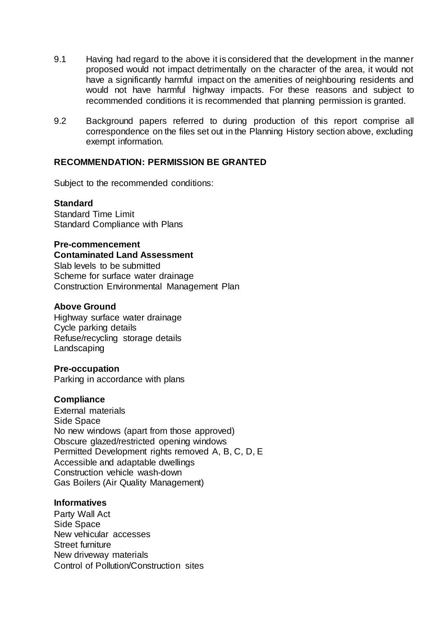- 9.1 Having had regard to the above it is considered that the development in the manner proposed would not impact detrimentally on the character of the area, it would not have a significantly harmful impact on the amenities of neighbouring residents and would not have harmful highway impacts. For these reasons and subject to recommended conditions it is recommended that planning permission is granted.
- 9.2 Background papers referred to during production of this report comprise all correspondence on the files set out in the Planning History section above, excluding exempt information.

#### **RECOMMENDATION: PERMISSION BE GRANTED**

Subject to the recommended conditions:

#### **Standard**

Standard Time Limit Standard Compliance with Plans

#### **Pre-commencement**

**Contaminated Land Assessment** Slab levels to be submitted Scheme for surface water drainage Construction Environmental Management Plan

#### **Above Ground**

Highway surface water drainage Cycle parking details Refuse/recycling storage details Landscaping

#### **Pre-occupation**

Parking in accordance with plans

### **Compliance**

External materials Side Space No new windows (apart from those approved) Obscure glazed/restricted opening windows Permitted Development rights removed A, B, C, D, E Accessible and adaptable dwellings Construction vehicle wash-down Gas Boilers (Air Quality Management)

#### **Informatives**

Party Wall Act Side Space New vehicular accesses Street furniture New driveway materials Control of Pollution/Construction sites